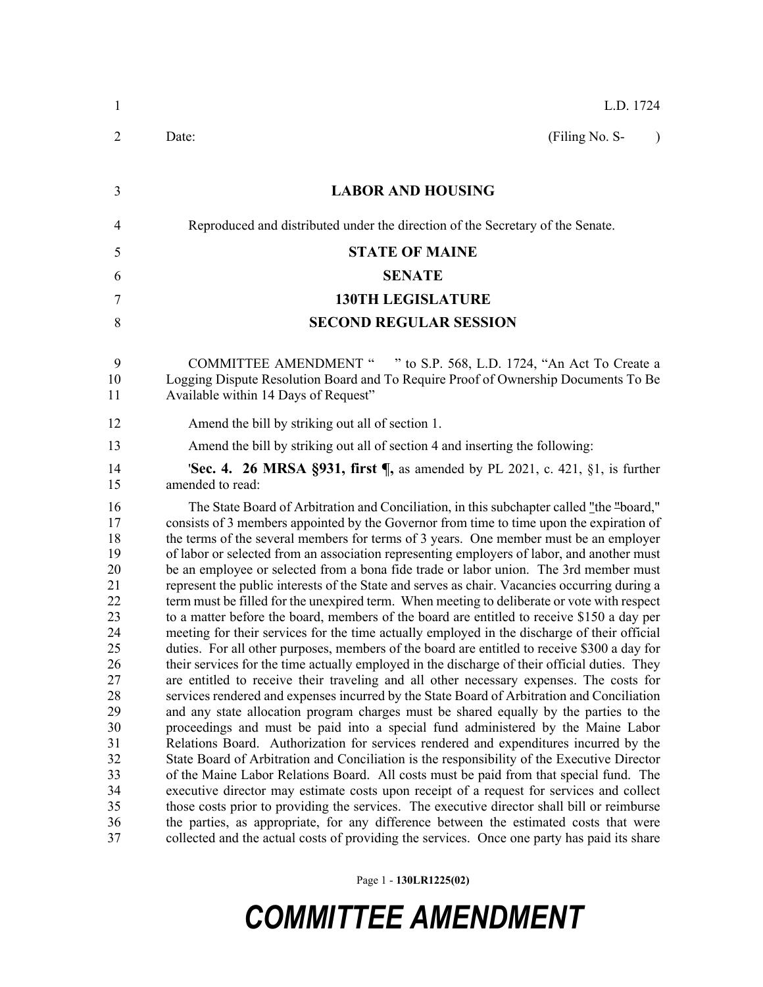| $\mathbf{1}$                                                                                                                     | L.D. 1724                                                                                                                                                                                                                                                                                                                                                                                                                                                                                                                                                                                                                                                                                                                                                                                                                                                                                                                                                                                                                                                                                                                                                                                                                                                                                                                                                                                                                                                                                                                                                                                                                                                                                                                                                                                                                                                                                                                                                                                                                                                                                                      |
|----------------------------------------------------------------------------------------------------------------------------------|----------------------------------------------------------------------------------------------------------------------------------------------------------------------------------------------------------------------------------------------------------------------------------------------------------------------------------------------------------------------------------------------------------------------------------------------------------------------------------------------------------------------------------------------------------------------------------------------------------------------------------------------------------------------------------------------------------------------------------------------------------------------------------------------------------------------------------------------------------------------------------------------------------------------------------------------------------------------------------------------------------------------------------------------------------------------------------------------------------------------------------------------------------------------------------------------------------------------------------------------------------------------------------------------------------------------------------------------------------------------------------------------------------------------------------------------------------------------------------------------------------------------------------------------------------------------------------------------------------------------------------------------------------------------------------------------------------------------------------------------------------------------------------------------------------------------------------------------------------------------------------------------------------------------------------------------------------------------------------------------------------------------------------------------------------------------------------------------------------------|
| 2                                                                                                                                | (Filing No. S-<br>Date:<br>$\lambda$                                                                                                                                                                                                                                                                                                                                                                                                                                                                                                                                                                                                                                                                                                                                                                                                                                                                                                                                                                                                                                                                                                                                                                                                                                                                                                                                                                                                                                                                                                                                                                                                                                                                                                                                                                                                                                                                                                                                                                                                                                                                           |
| 3                                                                                                                                | <b>LABOR AND HOUSING</b>                                                                                                                                                                                                                                                                                                                                                                                                                                                                                                                                                                                                                                                                                                                                                                                                                                                                                                                                                                                                                                                                                                                                                                                                                                                                                                                                                                                                                                                                                                                                                                                                                                                                                                                                                                                                                                                                                                                                                                                                                                                                                       |
| 4                                                                                                                                | Reproduced and distributed under the direction of the Secretary of the Senate.                                                                                                                                                                                                                                                                                                                                                                                                                                                                                                                                                                                                                                                                                                                                                                                                                                                                                                                                                                                                                                                                                                                                                                                                                                                                                                                                                                                                                                                                                                                                                                                                                                                                                                                                                                                                                                                                                                                                                                                                                                 |
| 5                                                                                                                                | <b>STATE OF MAINE</b>                                                                                                                                                                                                                                                                                                                                                                                                                                                                                                                                                                                                                                                                                                                                                                                                                                                                                                                                                                                                                                                                                                                                                                                                                                                                                                                                                                                                                                                                                                                                                                                                                                                                                                                                                                                                                                                                                                                                                                                                                                                                                          |
| 6                                                                                                                                | <b>SENATE</b>                                                                                                                                                                                                                                                                                                                                                                                                                                                                                                                                                                                                                                                                                                                                                                                                                                                                                                                                                                                                                                                                                                                                                                                                                                                                                                                                                                                                                                                                                                                                                                                                                                                                                                                                                                                                                                                                                                                                                                                                                                                                                                  |
| 7                                                                                                                                | <b>130TH LEGISLATURE</b>                                                                                                                                                                                                                                                                                                                                                                                                                                                                                                                                                                                                                                                                                                                                                                                                                                                                                                                                                                                                                                                                                                                                                                                                                                                                                                                                                                                                                                                                                                                                                                                                                                                                                                                                                                                                                                                                                                                                                                                                                                                                                       |
| 8                                                                                                                                | <b>SECOND REGULAR SESSION</b>                                                                                                                                                                                                                                                                                                                                                                                                                                                                                                                                                                                                                                                                                                                                                                                                                                                                                                                                                                                                                                                                                                                                                                                                                                                                                                                                                                                                                                                                                                                                                                                                                                                                                                                                                                                                                                                                                                                                                                                                                                                                                  |
| 9<br>10<br>11                                                                                                                    | <b>COMMITTEE AMENDMENT "</b><br>" to S.P. 568, L.D. 1724, "An Act To Create a<br>Logging Dispute Resolution Board and To Require Proof of Ownership Documents To Be<br>Available within 14 Days of Request"                                                                                                                                                                                                                                                                                                                                                                                                                                                                                                                                                                                                                                                                                                                                                                                                                                                                                                                                                                                                                                                                                                                                                                                                                                                                                                                                                                                                                                                                                                                                                                                                                                                                                                                                                                                                                                                                                                    |
| 12                                                                                                                               | Amend the bill by striking out all of section 1.                                                                                                                                                                                                                                                                                                                                                                                                                                                                                                                                                                                                                                                                                                                                                                                                                                                                                                                                                                                                                                                                                                                                                                                                                                                                                                                                                                                                                                                                                                                                                                                                                                                                                                                                                                                                                                                                                                                                                                                                                                                               |
| 13                                                                                                                               | Amend the bill by striking out all of section 4 and inserting the following:                                                                                                                                                                                                                                                                                                                                                                                                                                                                                                                                                                                                                                                                                                                                                                                                                                                                                                                                                                                                                                                                                                                                                                                                                                                                                                                                                                                                                                                                                                                                                                                                                                                                                                                                                                                                                                                                                                                                                                                                                                   |
| 14<br>15                                                                                                                         | <b>'Sec. 4. 26 MRSA §931, first <math>\P</math></b> , as amended by PL 2021, c. 421, §1, is further<br>amended to read:                                                                                                                                                                                                                                                                                                                                                                                                                                                                                                                                                                                                                                                                                                                                                                                                                                                                                                                                                                                                                                                                                                                                                                                                                                                                                                                                                                                                                                                                                                                                                                                                                                                                                                                                                                                                                                                                                                                                                                                        |
| 16<br>17<br>18<br>19<br>20<br>21<br>22<br>23<br>24<br>25<br>26<br>27<br>28<br>29<br>30<br>31<br>32<br>33<br>34<br>35<br>36<br>37 | The State Board of Arbitration and Conciliation, in this subchapter called "the "board,"<br>consists of 3 members appointed by the Governor from time to time upon the expiration of<br>the terms of the several members for terms of 3 years. One member must be an employer<br>of labor or selected from an association representing employers of labor, and another must<br>be an employee or selected from a bona fide trade or labor union. The 3rd member must<br>represent the public interests of the State and serves as chair. Vacancies occurring during a<br>term must be filled for the unexpired term. When meeting to deliberate or vote with respect<br>to a matter before the board, members of the board are entitled to receive \$150 a day per<br>meeting for their services for the time actually employed in the discharge of their official<br>duties. For all other purposes, members of the board are entitled to receive \$300 a day for<br>their services for the time actually employed in the discharge of their official duties. They<br>are entitled to receive their traveling and all other necessary expenses. The costs for<br>services rendered and expenses incurred by the State Board of Arbitration and Conciliation<br>and any state allocation program charges must be shared equally by the parties to the<br>proceedings and must be paid into a special fund administered by the Maine Labor<br>Relations Board. Authorization for services rendered and expenditures incurred by the<br>State Board of Arbitration and Conciliation is the responsibility of the Executive Director<br>of the Maine Labor Relations Board. All costs must be paid from that special fund. The<br>executive director may estimate costs upon receipt of a request for services and collect<br>those costs prior to providing the services. The executive director shall bill or reimburse<br>the parties, as appropriate, for any difference between the estimated costs that were<br>collected and the actual costs of providing the services. Once one party has paid its share |

Page 1 - **130LR1225(02)**

*COMMITTEE AMENDMENT*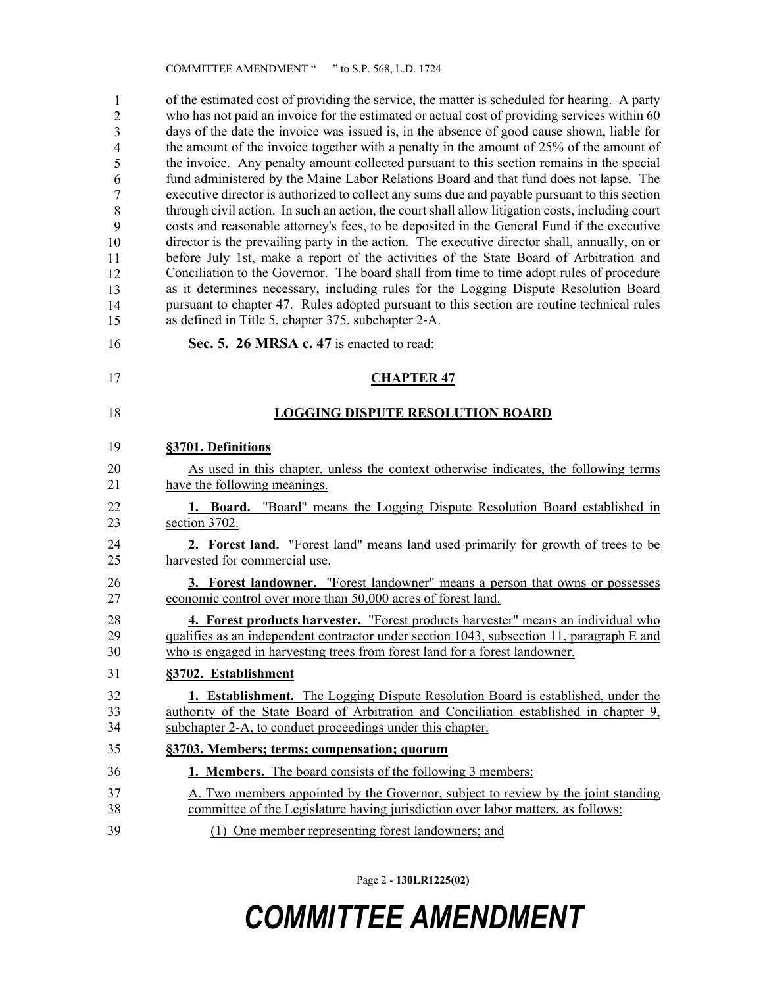of the estimated cost of providing the service, the matter is scheduled for hearing. A party who has not paid an invoice for the estimated or actual cost of providing services within 60 days of the date the invoice was issued is, in the absence of good cause shown, liable for the amount of the invoice together with a penalty in the amount of  $25%$  of the amount of 42 the invoice. Any penalty amount collected pursuant to this section remains in the special fund administered by the Maine Labor Relations Board and that fund does not lapse. The executive director is authorized to collect any sums due and payable pursuant to this section through civil action. In such an action, the court shall allow litigation costs, including court costs and reasonable attorney's fees, to be deposited in the General Fund if the executive director is the prevailing party in the action. The executive director shall, annually, on or before July 1st, make a report of the activities of the State Board of Arbitration and Conciliation to the Governor. The board shall from time to time adopt rules of procedure as it determines necessary, including rules for the Logging Dispute Resolution Board 51 pursuant to chapter 47. Rules adopted pursuant to this section are routine technical rules as defined in Title 5, chapter 375, subchapter 2-A. 1 2 3 4 5 6 7 8 9 10 11 12 13 14 15

- 16 **Sec. 5. 26 MRSA c. 47** is enacted to read:
- 17 **CHAPTER 47**

### 18 **LOGGING DISPUTE RESOLUTION BOARD**

#### 19 **§3701. Definitions**

- 20 As used in this chapter, unless the context otherwise indicates, the following terms 21 have the following meanings.
- 22 **1. Board.** "Board" means the Logging Dispute Resolution Board established in 23 section 3702.
- 24 **2. Forest land.** "Forest land" means land used primarily for growth of trees to be 25 harvested for commercial use.

26 **3. Forest landowner.** "Forest landowner" means a person that owns or possesses 27 economic control over more than 50,000 acres of forest land.

28 **4. Forest products harvester.** "Forest products harvester" means an individual who 29 qualifies as an independent contractor under section 1043, subsection 11, paragraph E and 30 who is engaged in harvesting trees from forest land for a forest landowner.

## 31 **§3702. Establishment**

- 32 **1. Establishment.** The Logging Dispute Resolution Board is established, under the 33 authority of the State Board of Arbitration and Conciliation established in chapter 9, 34 subchapter 2-A, to conduct proceedings under this chapter.
- 35 **§3703. Members; terms; compensation; quorum**
- 36 **1. Members.** The board consists of the following 3 members:
- 37 A. Two members appointed by the Governor, subject to review by the joint standing 38 committee of the Legislature having jurisdiction over labor matters, as follows:
- 39 (1) One member representing forest landowners; and

Page 2 - **130LR1225(02)**

# *COMMITTEE AMENDMENT*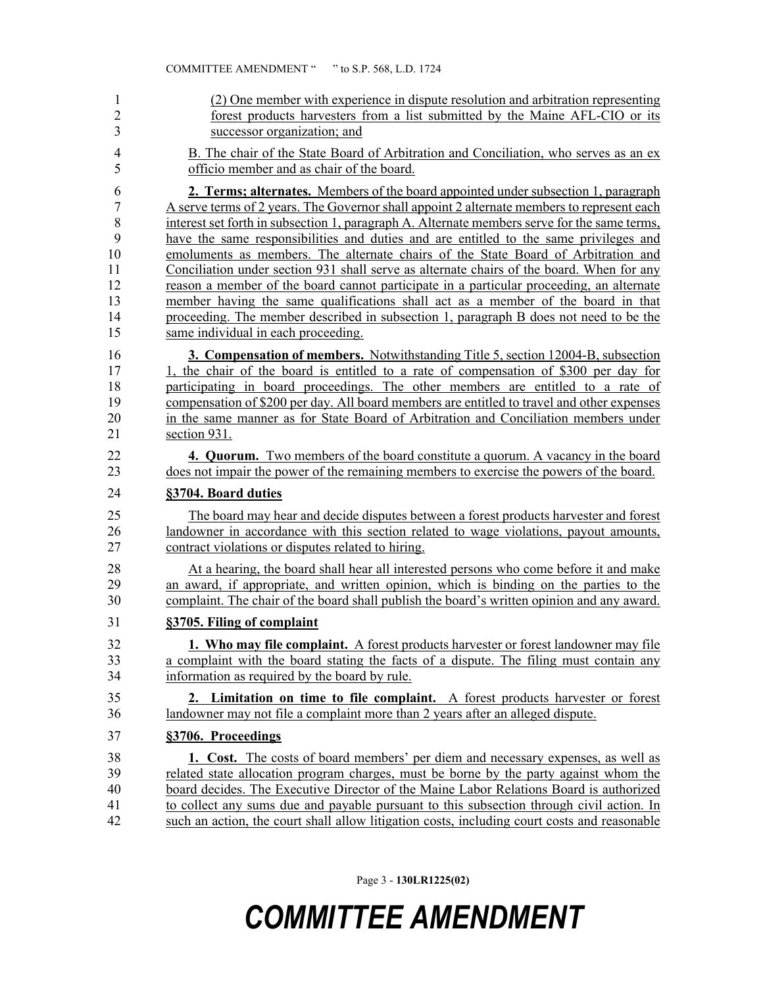| $\mathbf{1}$            | (2) One member with experience in dispute resolution and arbitration representing            |
|-------------------------|----------------------------------------------------------------------------------------------|
| $\overline{c}$          | forest products harvesters from a list submitted by the Maine AFL-CIO or its                 |
| $\overline{\mathbf{3}}$ | successor organization; and                                                                  |
| $\overline{4}$          | B. The chair of the State Board of Arbitration and Conciliation, who serves as an ex         |
| 5                       | officio member and as chair of the board.                                                    |
| 6                       | 2. Terms; alternates. Members of the board appointed under subsection 1, paragraph           |
| 7                       | A serve terms of 2 years. The Governor shall appoint 2 alternate members to represent each   |
| $\,$ $\,$               | interest set forth in subsection 1, paragraph A. Alternate members serve for the same terms, |
| 9                       | have the same responsibilities and duties and are entitled to the same privileges and        |
| 10                      | emoluments as members. The alternate chairs of the State Board of Arbitration and            |
| 11                      | Conciliation under section 931 shall serve as alternate chairs of the board. When for any    |
| 12                      | reason a member of the board cannot participate in a particular proceeding, an alternate     |
| 13                      | member having the same qualifications shall act as a member of the board in that             |
| 14                      | proceeding. The member described in subsection 1, paragraph B does not need to be the        |
| 15                      | same individual in each proceeding.                                                          |
| 16                      | 3. Compensation of members. Notwithstanding Title 5, section 12004-B, subsection             |
| 17                      | 1, the chair of the board is entitled to a rate of compensation of \$300 per day for         |
| 18                      | participating in board proceedings. The other members are entitled to a rate of              |
| 19                      | compensation of \$200 per day. All board members are entitled to travel and other expenses   |
| 20                      | in the same manner as for State Board of Arbitration and Conciliation members under          |
| 21                      | section 931.                                                                                 |
| 22                      | <b>4. Quorum.</b> Two members of the board constitute a quorum. A vacancy in the board       |
| 23                      | does not impair the power of the remaining members to exercise the powers of the board.      |
| 24                      | §3704. Board duties                                                                          |
| 25                      | The board may hear and decide disputes between a forest products harvester and forest        |
| 26                      | landowner in accordance with this section related to wage violations, payout amounts,        |
| 27                      | contract violations or disputes related to hiring.                                           |
| 28                      | At a hearing, the board shall hear all interested persons who come before it and make        |
| 29                      | an award, if appropriate, and written opinion, which is binding on the parties to the        |
| 30                      | complaint. The chair of the board shall publish the board's written opinion and any award.   |
| 31                      | §3705. Filing of complaint                                                                   |
|                         |                                                                                              |
| 32                      | <b>1. Who may file complaint.</b> A forest products harvester or forest landowner may file   |
| 33                      | a complaint with the board stating the facts of a dispute. The filing must contain any       |
| 34                      | information as required by the board by rule.                                                |
| 35                      | 2. Limitation on time to file complaint. A forest products harvester or forest               |
| 36                      | landowner may not file a complaint more than 2 years after an alleged dispute.               |
| 37                      | §3706. Proceedings                                                                           |
| 38                      | <b>1.</b> Cost. The costs of board members' per diem and necessary expenses, as well as      |
| 39                      | related state allocation program charges, must be borne by the party against whom the        |
| 40                      | board decides. The Executive Director of the Maine Labor Relations Board is authorized       |
| 41                      | to collect any sums due and payable pursuant to this subsection through civil action. In     |
| 42                      | such an action, the court shall allow litigation costs, including court costs and reasonable |

Page 3 - **130LR1225(02)**

# *COMMITTEE AMENDMENT*